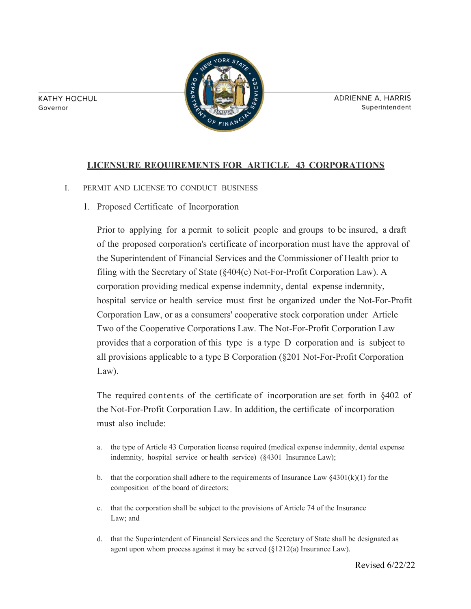**KATHY HOCHUL** Governor



**ADRIENNE A. HARRIS** Superintendent

# **LICENSURE REQUIREMENTS FOR ARTICLE 43 CORPORATIONS**

- I. PERMIT AND LICENSE TO CONDUCT BUSINESS
	- 1. Proposed Certificate of Incorporation

Prior to applying for a permit to solicit people and groups to be insured, a draft of the proposed corporation's certificate of incorporation must have the approval of the Superintendent of Financial Services and the Commissioner of Health prior to filing with the Secretary of State (§404(c) Not-For-Profit Corporation Law). A corporation providing medical expense indemnity, dental expense indemnity, hospital service or health service must first be organized under the Not-For-Profit Corporation Law, or as a consumers' cooperative stock corporation under Article Two of the Cooperative Corporations Law. The Not-For-Profit Corporation Law provides that a corporation of this type is a type D corporation and is subject to all provisions applicable to a type B Corporation (§201 Not-For-Profit Corporation Law).

The required contents of the certificate of incorporation are set forth in §402 of the Not-For-Profit Corporation Law. In addition, the certificate of incorporation must also include:

- a. the type of Article 43 Corporation license required (medical expense indemnity, dental expense indemnity, hospital service or health service) (§4301 Insurance Law);
- b. that the corporation shall adhere to the requirements of Insurance Law  $\S 4301(k)(1)$  for the composition of the board of directors;
- c. that the corporation shall be subject to the provisions of Article 74 of the Insurance Law; and
- d. that the Superintendent of Financial Services and the Secretary of State shall be designated as agent upon whom process against it may be served (§1212(a) Insurance Law).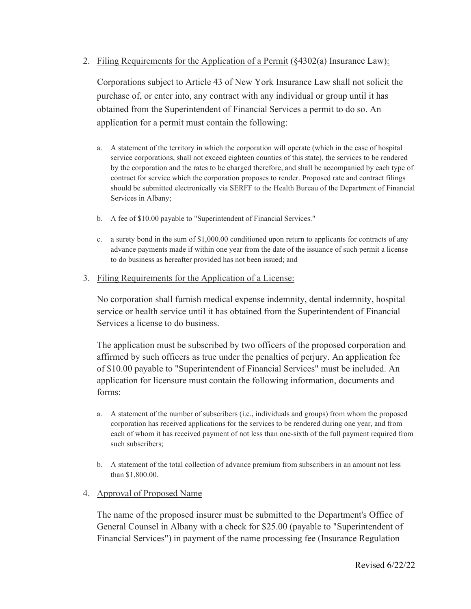2. Filing Requirements for the Application of a Permit  $(\frac{8}{4302(a)})$  Insurance Law):

Corporations subject to Article 43 of New York Insurance Law shall not solicit the purchase of, or enter into, any contract with any individual or group until it has obtained from the Superintendent of Financial Services a permit to do so. An application for a permit must contain the following:

- a. A statement of the territory in which the corporation will operate (which in the case of hospital service corporations, shall not exceed eighteen counties of this state), the services to be rendered by the corporation and the rates to be charged therefore, and shall be accompanied by each type of contract for service which the corporation proposes to render. Proposed rate and contract filings should be submitted electronically via SERFF to the Health Bureau of the Department of Financial Services in Albany;
- b. A fee of \$10.00 payable to "Superintendent of Financial Services."
- c. a surety bond in the sum of \$1,000.00 conditioned upon return to applicants for contracts of any advance payments made if within one year from the date of the issuance of such permit a license to do business as hereafter provided has not been issued; and
- 3. Filing Requirements for the Application of a License:

No corporation shall furnish medical expense indemnity, dental indemnity, hospital service or health service until it has obtained from the Superintendent of Financial Services a license to do business.

The application must be subscribed by two officers of the proposed corporation and affirmed by such officers as true under the penalties of perjury. An application fee of \$10.00 payable to "Superintendent of Financial Services" must be included. An application for licensure must contain the following information, documents and forms:

- a. A statement of the number of subscribers (i.e., individuals and groups) from whom the proposed corporation has received applications for the services to be rendered during one year, and from each of whom it has received payment of not less than one-sixth of the full payment required from such subscribers;
- b. A statement of the total collection of advance premium from subscribers in an amount not less than \$1,800.00.

# 4. Approval of Proposed Name

The name of the proposed insurer must be submitted to the Department's Office of General Counsel in Albany with a check for \$25.00 (payable to "Superintendent of Financial Services") in payment of the name processing fee (Insurance Regulation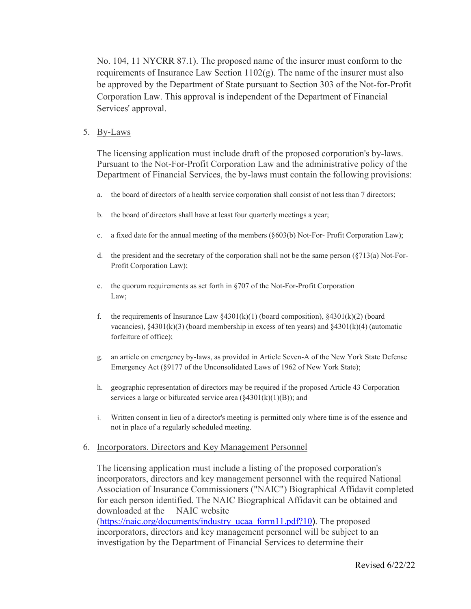No. 104, 11 NYCRR 87.1). The proposed name of the insurer must conform to the requirements of Insurance Law Section  $1102(g)$ . The name of the insurer must also be approved by the Department of State pursuant to Section 303 of the Not-for-Profit Corporation Law. This approval is independent of the Department of Financial Services' approval.

## 5. By-Laws

The licensing application must include draft of the proposed corporation's by-laws. Pursuant to the Not-For-Profit Corporation Law and the administrative policy of the Department of Financial Services, the by-laws must contain the following provisions:

- a. the board of directors of a health service corporation shall consist of not less than 7 directors;
- b. the board of directors shall have at least four quarterly meetings a year;
- c. a fixed date for the annual meeting of the members (§603(b) Not-For- Profit Corporation Law);
- d. the president and the secretary of the corporation shall not be the same person  $(\frac{8713}{a})$  Not-For-Profit Corporation Law);
- e. the quorum requirements as set forth in §707 of the Not-For-Profit Corporation Law;
- f. the requirements of Insurance Law  $§4301(k)(1)$  (board composition),  $§4301(k)(2)$  (board vacancies),  $\S 4301(k)(3)$  (board membership in excess of ten years) and  $\S 4301(k)(4)$  (automatic forfeiture of office);
- g. an article on emergency by-laws, as provided in Article Seven-A of the New York State Defense Emergency Act (§9177 of the Unconsolidated Laws of 1962 of New York State);
- h. geographic representation of directors may be required if the proposed Article 43 Corporation services a large or bifurcated service area  $(\frac{84301(k)(1)(B)}{B})$ ; and
- i. Written consent in lieu of a director's meeting is permitted only where time is of the essence and not in place of a regularly scheduled meeting.

### 6. Incorporators. Directors and Key Management Personnel

The licensing application must include a listing of the proposed corporation's incorporators, directors and key management personnel with the required National Association of Insurance Commissioners ("NAIC") Biographical Affidavit completed for each person identified. The NAIC Biographical Affidavit can be obtained and downloaded at the NAIC website [\(https://naic.org/documents/industry\\_ucaa\\_form11.pdf?10](https://naic.org/documents/industry_ucaa_form11.pdf?10)). The proposed incorporators, directors and key management personnel will be subject to an investigation by the Department of Financial Services to determine their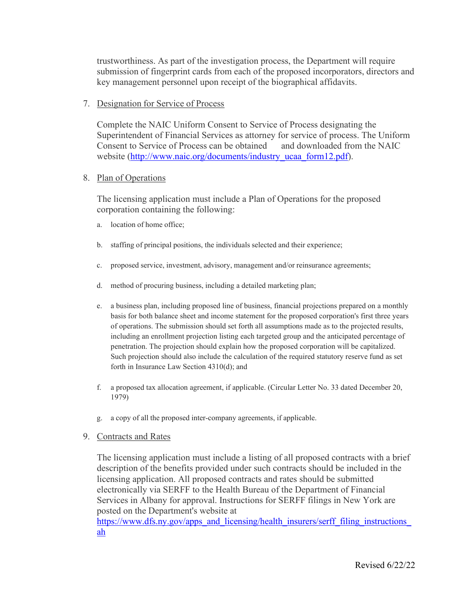trustworthiness. As part of the investigation process, the Department will require submission of fingerprint cards from each of the proposed incorporators, directors and key management personnel upon receipt of the biographical affidavits.

# 7. Designation for Service of Process

Complete the NAIC Uniform Consent to Service of Process designating the Superintendent of Financial Services as attorney for service of process. The Uniform Consent to Service of Process can be obtained and downloaded from the NAIC website [\(http://www.naic.org/documents/industry\\_ucaa\\_form12.pdf\)](http://www.naic.org/documents/industry_ucaa_form12.pdf).

# 8. Plan of Operations

The licensing application must include a Plan of Operations for the proposed corporation containing the following:

- a. location of home office;
- b. staffing of principal positions, the individuals selected and their experience;
- c. proposed service, investment, advisory, management and/or reinsurance agreements;
- d. method of procuring business, including a detailed marketing plan;
- e. a business plan, including proposed line of business, financial projections prepared on a monthly basis for both balance sheet and income statement for the proposed corporation's first three years of operations. The submission should set forth all assumptions made as to the projected results, including an enrollment projection listing each targeted group and the anticipated percentage of penetration. The projection should explain how the proposed corporation will be capitalized. Such projection should also include the calculation of the required statutory reserve fund as set forth in Insurance Law Section 4310(d); and
- f. a proposed tax allocation agreement, if applicable. (Circular Letter No. 33 dated December 20, 1979)
- g. a copy of all the proposed inter-company agreements, if applicable.
- 9. Contracts and Rates

The licensing application must include a listing of all proposed contracts with a brief description of the benefits provided under such contracts should be included in the licensing application. All proposed contracts and rates should be submitted electronically via SERFF to the Health Bureau of the Department of Financial Services in Albany for approval. Instructions for SERFF filings in New York are posted on the Department's website at

https://www.dfs.ny.gov/apps\_and\_licensing/health\_insurers/serff\_filing\_instructions [ah](https://www.dfs.ny.gov/apps_and_licensing/health_insurers/serff_filing_instructions/ah_filings_ny)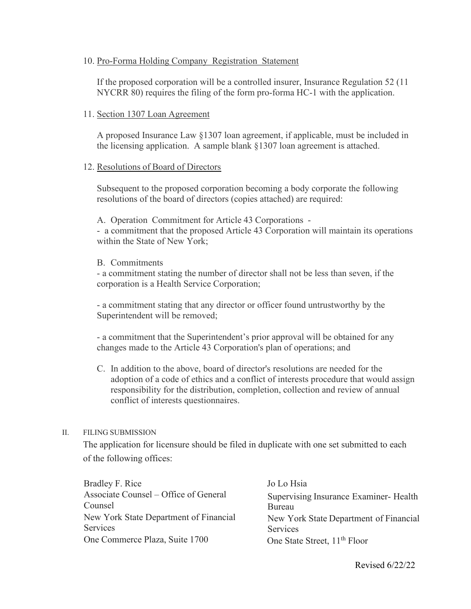# 10. Pro-Forma Holding Company Registration Statement

If the proposed corporation will be a controlled insurer, Insurance Regulation 52 (11 NYCRR 80) requires the filing of the form pro-forma HC-1 with the application.

## 11. Section 1307 Loan Agreement

A proposed Insurance Law §1307 loan agreement, if applicable, must be included in the licensing application. A sample blank §1307 loan agreement is attached.

## 12. Resolutions of Board of Directors

Subsequent to the proposed corporation becoming a body corporate the following resolutions of the board of directors (copies attached) are required:

A. Operation Commitment for Article 43 Corporations -

- a commitment that the proposed Article 43 Corporation will maintain its operations within the State of New York;

## B. Commitments

- a commitment stating the number of director shall not be less than seven, if the corporation is a Health Service Corporation;

- a commitment stating that any director or officer found untrustworthy by the Superintendent will be removed;

- a commitment that the Superintendent's prior approval will be obtained for any changes made to the Article 43 Corporation's plan of operations; and

C. In addition to the above, board of director's resolutions are needed for the adoption of a code of ethics and a conflict of interests procedure that would assign responsibility for the distribution, completion, collection and review of annual conflict of interests questionnaires.

### II. FILING SUBMISSION

The application for licensure should be filed in duplicate with one set submitted to each of the following offices:

Bradley F. Rice Jo Lo Hsia Associate Counsel – Office of General Supervising Insurance Examiner- Health Counsel Bureau Services Services One Commerce Plaza, Suite 1700 One State Street, 11<sup>th</sup> Floor

New York State Department of Financial New York State Department of Financial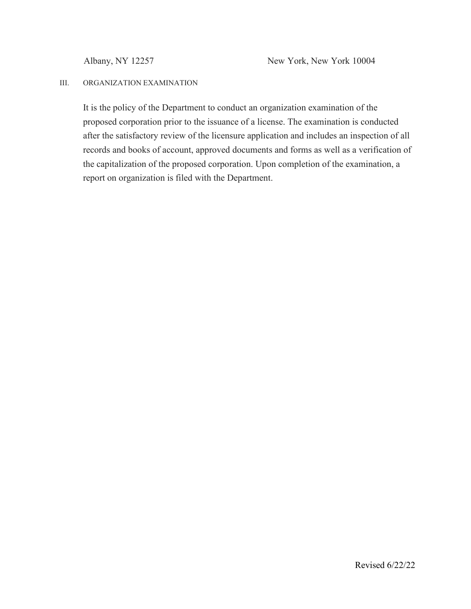## III. ORGANIZATION EXAMINATION

It is the policy of the Department to conduct an organization examination of the proposed corporation prior to the issuance of a license. The examination is conducted after the satisfactory review of the licensure application and includes an inspection of all records and books of account, approved documents and forms as well as a verification of the capitalization of the proposed corporation. Upon completion of the examination, a report on organization is filed with the Department.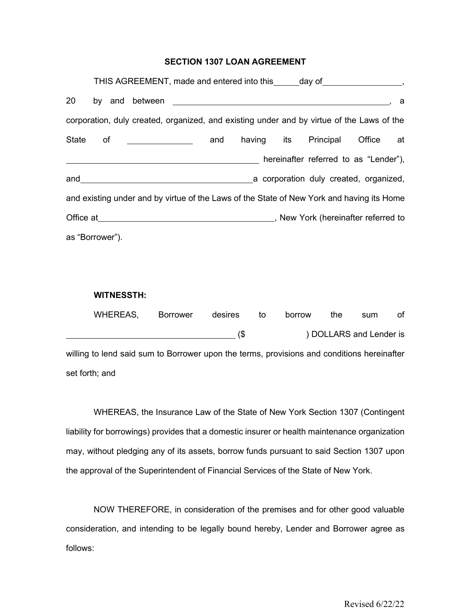#### **SECTION 1307 LOAN AGREEMENT**

|                                                                                           |  |  |                                               |  |     | THIS AGREEMENT, made and entered into this _____ day of __________________,                                                                                                                                                    |                                        |           |     |
|-------------------------------------------------------------------------------------------|--|--|-----------------------------------------------|--|-----|--------------------------------------------------------------------------------------------------------------------------------------------------------------------------------------------------------------------------------|----------------------------------------|-----------|-----|
| 20                                                                                        |  |  |                                               |  |     |                                                                                                                                                                                                                                |                                        |           | - a |
|                                                                                           |  |  |                                               |  |     | corporation, duly created, organized, and existing under and by virtue of the Laws of the                                                                                                                                      |                                        |           |     |
| State of                                                                                  |  |  | <u> 1990 - John Stein, fransk politiker (</u> |  | and |                                                                                                                                                                                                                                | having its Principal                   | Office at |     |
|                                                                                           |  |  |                                               |  |     |                                                                                                                                                                                                                                | hereinafter referred to as "Lender"),  |           |     |
|                                                                                           |  |  | and <u>__________________________</u>         |  |     |                                                                                                                                                                                                                                | a corporation duly created, organized, |           |     |
| and existing under and by virtue of the Laws of the State of New York and having its Home |  |  |                                               |  |     |                                                                                                                                                                                                                                |                                        |           |     |
|                                                                                           |  |  |                                               |  |     | Office at Contract Contract Contract Contract Contract Contract Contract Contract Contract Contract Contract Contract Contract Contract Contract Contract Contract Contract Contract Contract Contract Contract Contract Contr |                                        |           |     |
| as "Borrower").                                                                           |  |  |                                               |  |     |                                                                                                                                                                                                                                |                                        |           |     |

#### **WITNESSTH:**

|                                                                                            | WHEREAS,       | <b>Borrower</b> | desires | to | borrow | the | sum                     | οf |
|--------------------------------------------------------------------------------------------|----------------|-----------------|---------|----|--------|-----|-------------------------|----|
|                                                                                            |                |                 | 65      |    |        |     | ) DOLLARS and Lender is |    |
| willing to lend said sum to Borrower upon the terms, provisions and conditions hereinafter |                |                 |         |    |        |     |                         |    |
|                                                                                            | set forth; and |                 |         |    |        |     |                         |    |

WHEREAS, the Insurance Law of the State of New York Section 1307 (Contingent liability for borrowings) provides that a domestic insurer or health maintenance organization may, without pledging any of its assets, borrow funds pursuant to said Section 1307 upon the approval of the Superintendent of Financial Services of the State of New York.

NOW THEREFORE, in consideration of the premises and for other good valuable consideration, and intending to be legally bound hereby, Lender and Borrower agree as follows: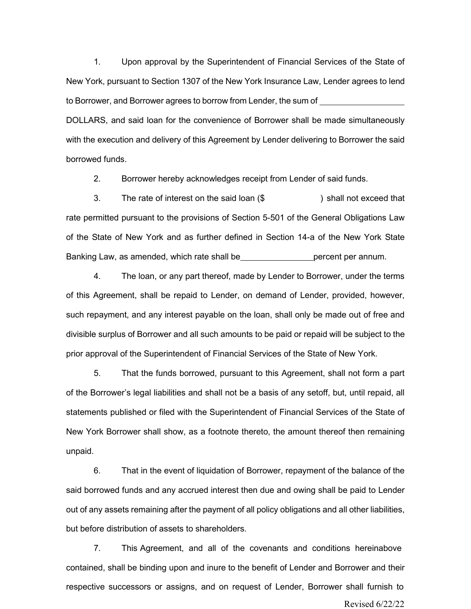1. Upon approval by the Superintendent of Financial Services of the State of New York, pursuant to Section 1307 of the New York Insurance Law, Lender agrees to lend to Borrower, and Borrower agrees to borrow from Lender, the sum of DOLLARS, and said loan for the convenience of Borrower shall be made simultaneously with the execution and delivery of this Agreement by Lender delivering to Borrower the said borrowed funds.

2. Borrower hereby acknowledges receipt from Lender of said funds.

3. The rate of interest on the said loan (\$ ) shall not exceed that rate permitted pursuant to the provisions of Section 5-501 of the General Obligations Law of the State of New York and as further defined in Section 14-a of the New York State Banking Law, as amended, which rate shall be percent per annum.

4. The loan, or any part thereof, made by Lender to Borrower, under the terms of this Agreement, shall be repaid to Lender, on demand of Lender, provided, however, such repayment, and any interest payable on the loan, shall only be made out of free and divisible surplus of Borrower and all such amounts to be paid or repaid will be subject to the prior approval of the Superintendent of Financial Services of the State of New York.

5. That the funds borrowed, pursuant to this Agreement, shall not form a part of the Borrower's legal liabilities and shall not be a basis of any setoff, but, until repaid, all statements published or filed with the Superintendent of Financial Services of the State of New York Borrower shall show, as a footnote thereto, the amount thereof then remaining unpaid.

6. That in the event of liquidation of Borrower, repayment of the balance of the said borrowed funds and any accrued interest then due and owing shall be paid to Lender out of any assets remaining after the payment of all policy obligations and all other liabilities, but before distribution of assets to shareholders.

Revised 6/22/22 7. This Agreement, and all of the covenants and conditions hereinabove contained, shall be binding upon and inure to the benefit of Lender and Borrower and their respective successors or assigns, and on request of Lender, Borrower shall furnish to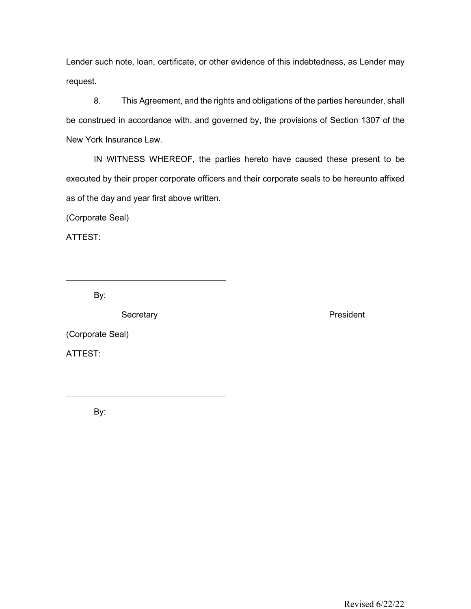Lender such note, loan, certificate, or other evidence of this indebtedness, as Lender may request.

8. This Agreement, and the rights and obligations of the parties hereunder, shall be construed in accordance with, and governed by, the provisions of Section 1307 of the New York Insurance Law.

IN WITNESS WHEREOF, the parties hereto have caused these present to be executed by their proper corporate officers and their corporate seals to be hereunto affixed as of the day and year first above written.

(Corporate Seal)

ATTEST:

By:

Secretary **President** 

(Corporate Seal)

ATTEST:

By: **Example 20** Section 20 Section 20 Section 20 Section 20 Section 20 Section 20 Section 20 Section 20 Section 20 Section 20 Section 20 Section 20 Section 20 Section 20 Section 20 Section 20 Section 20 Section 20 Section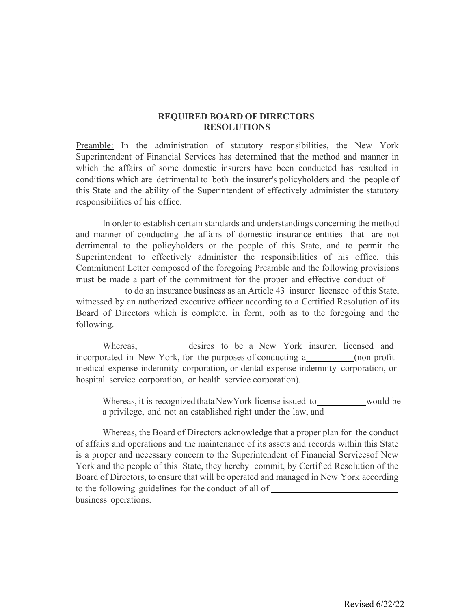## **REQUIRED BOARD OF DIRECTORS RESOLUTIONS**

Preamble: In the administration of statutory responsibilities, the New York Superintendent of Financial Services has determined that the method and manner in which the affairs of some domestic insurers have been conducted has resulted in conditions which are detrimental to both the insurer's policyholders and the people of this State and the ability of the Superintendent of effectively administer the statutory responsibilities of his office.

In order to establish certain standards and understandings concerning the method and manner of conducting the affairs of domestic insurance entities that are not detrimental to the policyholders or the people of this State, and to permit the Superintendent to effectively administer the responsibilities of his office, this Commitment Letter composed of the foregoing Preamble and the following provisions must be made a part of the commitment for the proper and effective conduct of

to do an insurance business as an Article 43 insurer licensee of this State, witnessed by an authorized executive officer according to a Certified Resolution of its Board of Directors which is complete, in form, both as to the foregoing and the following.

Whereas, desires to be a New York insurer, licensed and incorporated in New York, for the purposes of conducting a \_\_\_\_\_\_\_\_\_ (non-profit medical expense indemnity corporation, or dental expense indemnity corporation, or hospital service corporation, or health service corporation).

Whereas, it is recognized thata NewYork license issued to would be a privilege, and not an established right under the law, and

Whereas, the Board of Directors acknowledge that a proper plan for the conduct of affairs and operations and the maintenance of its assets and records within this State is a proper and necessary concern to the Superintendent of Financial Servicesof New York and the people of this State, they hereby commit, by Certified Resolution of the Board of Directors, to ensure that will be operated and managed in New York according to the following guidelines for the conduct of all of business operations.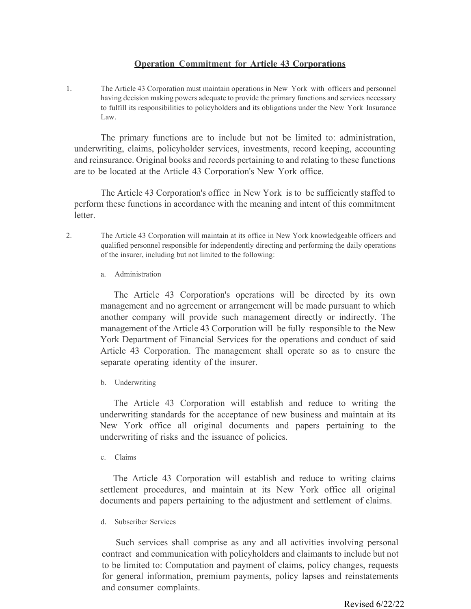## **Operation Commitment for Article 43 Corporations**

1. The Article 43 Corporation must maintain operations in New York with officers and personnel having decision making powers adequate to provide the primary functions and services necessary to fulfill its responsibilities to policyholders and its obligations under the New York Insurance Law.

The primary functions are to include but not be limited to: administration, underwriting, claims, policyholder services, investments, record keeping, accounting and reinsurance. Original books and records pertaining to and relating to these functions are to be located at the Article 43 Corporation's New York office.

The Article 43 Corporation's office in New York is to be sufficiently staffed to perform these functions in accordance with the meaning and intent of this commitment letter.

- 2. The Article 43 Corporation will maintain at its office in New York knowledgeable officers and qualified personnel responsible for independently directing and performing the daily operations of the insurer, including but not limited to the following:
	- a. Administration

The Article 43 Corporation's operations will be directed by its own management and no agreement or arrangement will be made pursuant to which another company will provide such management directly or indirectly. The management of the Article 43 Corporation will be fully responsible to the New York Department of Financial Services for the operations and conduct of said Article 43 Corporation. The management shall operate so as to ensure the separate operating identity of the insurer.

b. Underwriting

The Article 43 Corporation will establish and reduce to writing the underwriting standards for the acceptance of new business and maintain at its New York office all original documents and papers pertaining to the underwriting of risks and the issuance of policies.

c. Claims

The Article 43 Corporation will establish and reduce to writing claims settlement procedures, and maintain at its New York office all original documents and papers pertaining to the adjustment and settlement of claims.

d. Subscriber Services

Such services shall comprise as any and all activities involving personal contract and communication with policyholders and claimants to include but not to be limited to: Computation and payment of claims, policy changes, requests for general information, premium payments, policy lapses and reinstatements and consumer complaints.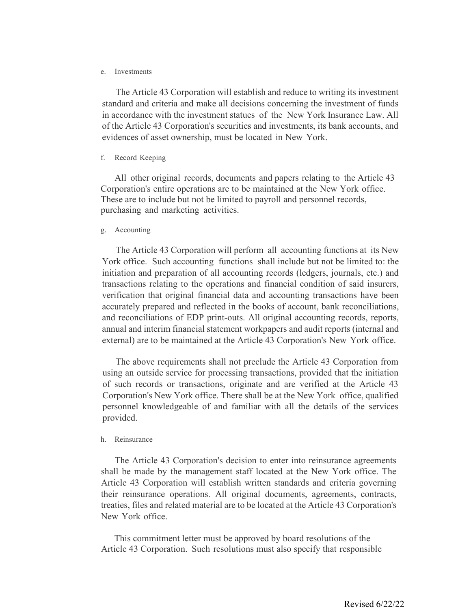#### e. Investments

The Article 43 Corporation will establish and reduce to writing its investment standard and criteria and make all decisions concerning the investment of funds in accordance with the investment statues of the New York Insurance Law. All of the Article 43 Corporation's securities and investments, its bank accounts, and evidences of asset ownership, must be located in New York.

#### f. Record Keeping

All other original records, documents and papers relating to the Article 43 Corporation's entire operations are to be maintained at the New York office. These are to include but not be limited to payroll and personnel records, purchasing and marketing activities.

#### g. Accounting

The Article 43 Corporation will perform all accounting functions at its New York office. Such accounting functions shall include but not be limited to: the initiation and preparation of all accounting records (ledgers, journals, etc.) and transactions relating to the operations and financial condition of said insurers, verification that original financial data and accounting transactions have been accurately prepared and reflected in the books of account, bank reconciliations, and reconciliations of EDP print-outs. All original accounting records, reports, annual and interim financial statement workpapers and audit reports (internal and external) are to be maintained at the Article 43 Corporation's New York office.

The above requirements shall not preclude the Article 43 Corporation from using an outside service for processing transactions, provided that the initiation of such records or transactions, originate and are verified at the Article 43 Corporation's New York office. There shall be at the New York office, qualified personnel knowledgeable of and familiar with all the details of the services provided.

#### h. Reinsurance

The Article 43 Corporation's decision to enter into reinsurance agreements shall be made by the management staff located at the New York office. The Article 43 Corporation will establish written standards and criteria governing their reinsurance operations. All original documents, agreements, contracts, treaties, files and related material are to be located at the Article 43 Corporation's New York office.

This commitment letter must be approved by board resolutions of the Article 43 Corporation. Such resolutions must also specify that responsible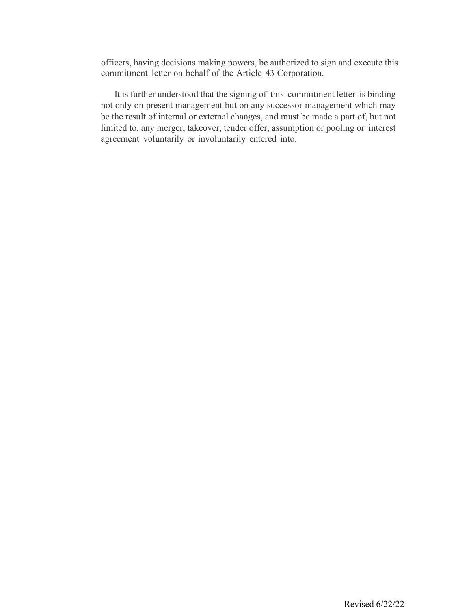officers, having decisions making powers, be authorized to sign and execute this commitment letter on behalf of the Article 43 Corporation.

It is further understood that the signing of this commitment letter is binding not only on present management but on any successor management which may be the result of internal or external changes, and must be made a part of, but not limited to, any merger, takeover, tender offer, assumption or pooling or interest agreement voluntarily or involuntarily entered into.